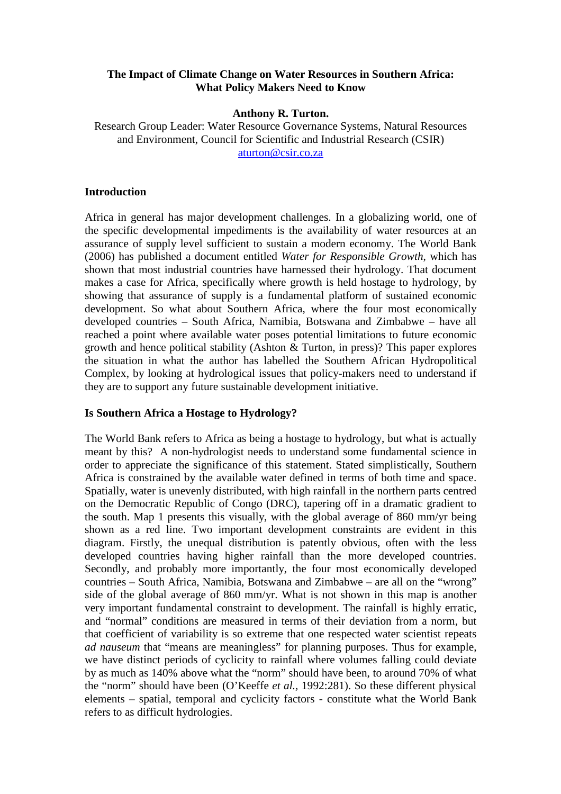# **The Impact of Climate Change on Water Resources in Southern Africa: What Policy Makers Need to Know**

#### **Anthony R. Turton.**

Research Group Leader: Water Resource Governance Systems, Natural Resources and Environment, Council for Scientific and Industrial Research (CSIR) aturton@csir.co.za

# **Introduction**

Africa in general has major development challenges. In a globalizing world, one of the specific developmental impediments is the availability of water resources at an assurance of supply level sufficient to sustain a modern economy. The World Bank (2006) has published a document entitled *Water for Responsible Growth*, which has shown that most industrial countries have harnessed their hydrology. That document makes a case for Africa, specifically where growth is held hostage to hydrology, by showing that assurance of supply is a fundamental platform of sustained economic development. So what about Southern Africa, where the four most economically developed countries – South Africa, Namibia, Botswana and Zimbabwe – have all reached a point where available water poses potential limitations to future economic growth and hence political stability (Ashton & Turton, in press)? This paper explores the situation in what the author has labelled the Southern African Hydropolitical Complex, by looking at hydrological issues that policy-makers need to understand if they are to support any future sustainable development initiative.

# **Is Southern Africa a Hostage to Hydrology?**

The World Bank refers to Africa as being a hostage to hydrology, but what is actually meant by this? A non-hydrologist needs to understand some fundamental science in order to appreciate the significance of this statement. Stated simplistically, Southern Africa is constrained by the available water defined in terms of both time and space. Spatially, water is unevenly distributed, with high rainfall in the northern parts centred on the Democratic Republic of Congo (DRC), tapering off in a dramatic gradient to the south. Map 1 presents this visually, with the global average of 860 mm/yr being shown as a red line. Two important development constraints are evident in this diagram. Firstly, the unequal distribution is patently obvious, often with the less developed countries having higher rainfall than the more developed countries. Secondly, and probably more importantly, the four most economically developed countries – South Africa, Namibia, Botswana and Zimbabwe – are all on the "wrong" side of the global average of 860 mm/yr. What is not shown in this map is another very important fundamental constraint to development. The rainfall is highly erratic, and "normal" conditions are measured in terms of their deviation from a norm, but that coefficient of variability is so extreme that one respected water scientist repeats *ad nauseum* that "means are meaningless" for planning purposes. Thus for example, we have distinct periods of cyclicity to rainfall where volumes falling could deviate by as much as 140% above what the "norm" should have been, to around 70% of what the "norm" should have been (O'Keeffe *et al.,* 1992:281). So these different physical elements – spatial, temporal and cyclicity factors - constitute what the World Bank refers to as difficult hydrologies.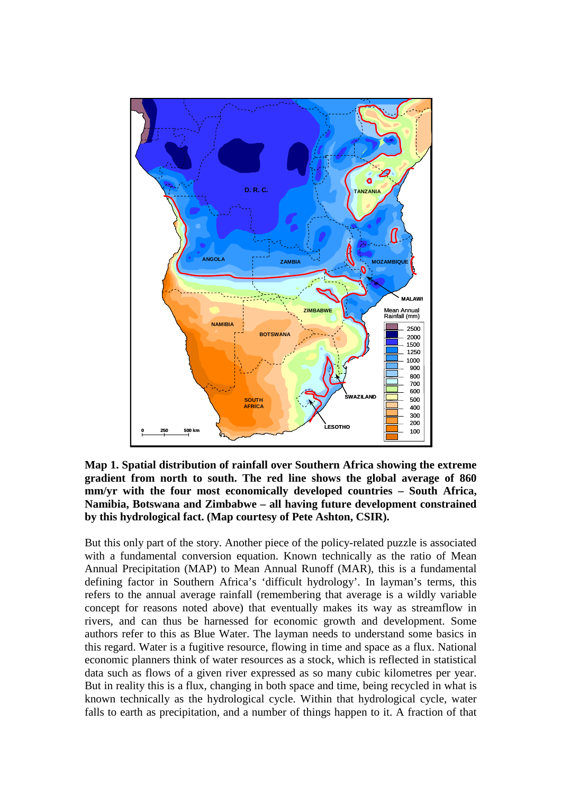

**Map 1. Spatial distribution of rainfall over Southern Africa showing the extreme gradient from north to south. The red line shows the global average of 860 mm/yr with the four most economically developed countries – South Africa, Namibia, Botswana and Zimbabwe – all having future development constrained by this hydrological fact. (Map courtesy of Pete Ashton, CSIR).** 

But this only part of the story. Another piece of the policy-related puzzle is associated with a fundamental conversion equation. Known technically as the ratio of Mean Annual Precipitation (MAP) to Mean Annual Runoff (MAR), this is a fundamental defining factor in Southern Africa's 'difficult hydrology'. In layman's terms, this refers to the annual average rainfall (remembering that average is a wildly variable concept for reasons noted above) that eventually makes its way as streamflow in rivers, and can thus be harnessed for economic growth and development. Some authors refer to this as Blue Water. The layman needs to understand some basics in this regard. Water is a fugitive resource, flowing in time and space as a flux. National economic planners think of water resources as a stock, which is reflected in statistical data such as flows of a given river expressed as so many cubic kilometres per year. But in reality this is a flux, changing in both space and time, being recycled in what is known technically as the hydrological cycle. Within that hydrological cycle, water falls to earth as precipitation, and a number of things happen to it. A fraction of that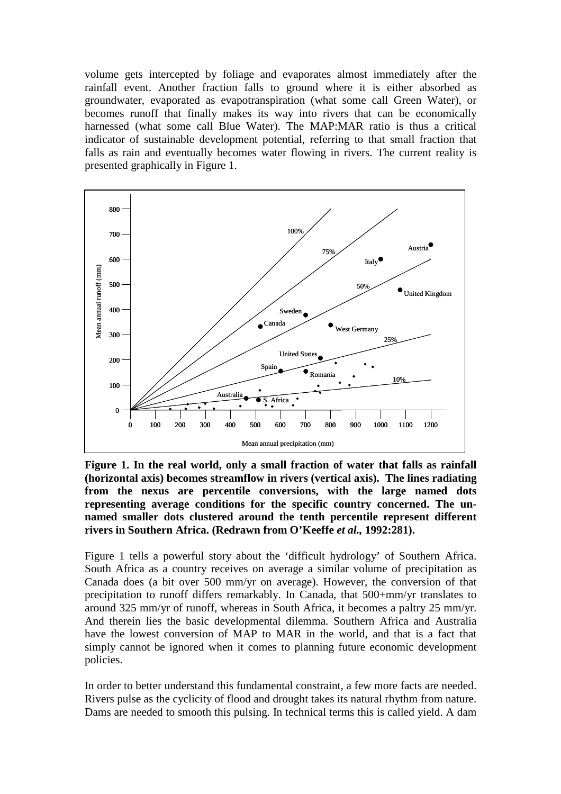volume gets intercepted by foliage and evaporates almost immediately after the rainfall event. Another fraction falls to ground where it is either absorbed as groundwater, evaporated as evapotranspiration (what some call Green Water), or becomes runoff that finally makes its way into rivers that can be economically harnessed (what some call Blue Water). The MAP:MAR ratio is thus a critical indicator of sustainable development potential, referring to that small fraction that falls as rain and eventually becomes water flowing in rivers. The current reality is presented graphically in Figure 1.



**Figure 1. In the real world, only a small fraction of water that falls as rainfall (horizontal axis) becomes streamflow in rivers (vertical axis). The lines radiating from the nexus are percentile conversions, with the large named dots representing average conditions for the specific country concerned. The unnamed smaller dots clustered around the tenth percentile represent different rivers in Southern Africa. (Redrawn from O'Keeffe** *et al.,* **1992:281).** 

Figure 1 tells a powerful story about the 'difficult hydrology' of Southern Africa. South Africa as a country receives on average a similar volume of precipitation as Canada does (a bit over 500 mm/yr on average). However, the conversion of that precipitation to runoff differs remarkably. In Canada, that 500+mm/yr translates to around 325 mm/yr of runoff, whereas in South Africa, it becomes a paltry 25 mm/yr. And therein lies the basic developmental dilemma. Southern Africa and Australia have the lowest conversion of MAP to MAR in the world, and that is a fact that simply cannot be ignored when it comes to planning future economic development policies.

In order to better understand this fundamental constraint, a few more facts are needed. Rivers pulse as the cyclicity of flood and drought takes its natural rhythm from nature. Dams are needed to smooth this pulsing. In technical terms this is called yield. A dam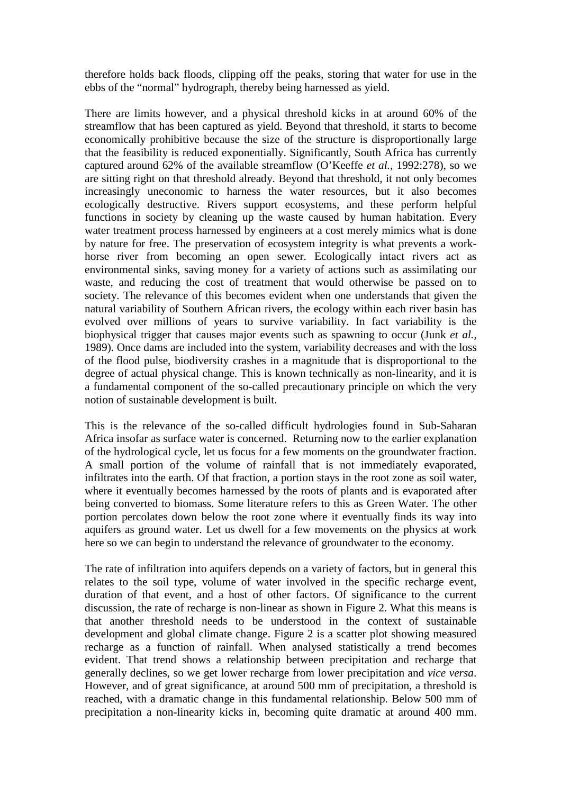therefore holds back floods, clipping off the peaks, storing that water for use in the ebbs of the "normal" hydrograph, thereby being harnessed as yield.

There are limits however, and a physical threshold kicks in at around 60% of the streamflow that has been captured as yield. Beyond that threshold, it starts to become economically prohibitive because the size of the structure is disproportionally large that the feasibility is reduced exponentially. Significantly, South Africa has currently captured around 62% of the available streamflow (O'Keeffe *et al.,* 1992:278), so we are sitting right on that threshold already. Beyond that threshold, it not only becomes increasingly uneconomic to harness the water resources, but it also becomes ecologically destructive. Rivers support ecosystems, and these perform helpful functions in society by cleaning up the waste caused by human habitation. Every water treatment process harnessed by engineers at a cost merely mimics what is done by nature for free. The preservation of ecosystem integrity is what prevents a workhorse river from becoming an open sewer. Ecologically intact rivers act as environmental sinks, saving money for a variety of actions such as assimilating our waste, and reducing the cost of treatment that would otherwise be passed on to society. The relevance of this becomes evident when one understands that given the natural variability of Southern African rivers, the ecology within each river basin has evolved over millions of years to survive variability. In fact variability is the biophysical trigger that causes major events such as spawning to occur (Junk *et al.,* 1989). Once dams are included into the system, variability decreases and with the loss of the flood pulse, biodiversity crashes in a magnitude that is disproportional to the degree of actual physical change. This is known technically as non-linearity, and it is a fundamental component of the so-called precautionary principle on which the very notion of sustainable development is built.

This is the relevance of the so-called difficult hydrologies found in Sub-Saharan Africa insofar as surface water is concerned. Returning now to the earlier explanation of the hydrological cycle, let us focus for a few moments on the groundwater fraction. A small portion of the volume of rainfall that is not immediately evaporated, infiltrates into the earth. Of that fraction, a portion stays in the root zone as soil water, where it eventually becomes harnessed by the roots of plants and is evaporated after being converted to biomass. Some literature refers to this as Green Water. The other portion percolates down below the root zone where it eventually finds its way into aquifers as ground water. Let us dwell for a few movements on the physics at work here so we can begin to understand the relevance of groundwater to the economy.

The rate of infiltration into aquifers depends on a variety of factors, but in general this relates to the soil type, volume of water involved in the specific recharge event, duration of that event, and a host of other factors. Of significance to the current discussion, the rate of recharge is non-linear as shown in Figure 2. What this means is that another threshold needs to be understood in the context of sustainable development and global climate change. Figure 2 is a scatter plot showing measured recharge as a function of rainfall. When analysed statistically a trend becomes evident. That trend shows a relationship between precipitation and recharge that generally declines, so we get lower recharge from lower precipitation and *vice versa*. However, and of great significance, at around 500 mm of precipitation, a threshold is reached, with a dramatic change in this fundamental relationship. Below 500 mm of precipitation a non-linearity kicks in, becoming quite dramatic at around 400 mm.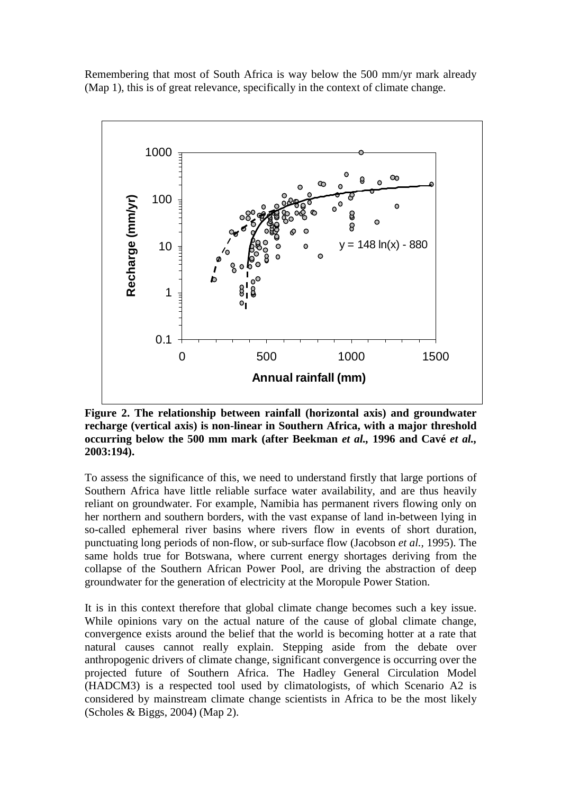Remembering that most of South Africa is way below the 500 mm/yr mark already (Map 1), this is of great relevance, specifically in the context of climate change.



**Figure 2. The relationship between rainfall (horizontal axis) and groundwater recharge (vertical axis) is non-linear in Southern Africa, with a major threshold occurring below the 500 mm mark (after Beekman** *et al.,* **1996 and Cavé** *et al.,* **2003:194).** 

To assess the significance of this, we need to understand firstly that large portions of Southern Africa have little reliable surface water availability, and are thus heavily reliant on groundwater. For example, Namibia has permanent rivers flowing only on her northern and southern borders, with the vast expanse of land in-between lying in so-called ephemeral river basins where rivers flow in events of short duration, punctuating long periods of non-flow, or sub-surface flow (Jacobson *et al.,* 1995). The same holds true for Botswana, where current energy shortages deriving from the collapse of the Southern African Power Pool, are driving the abstraction of deep groundwater for the generation of electricity at the Moropule Power Station.

It is in this context therefore that global climate change becomes such a key issue. While opinions vary on the actual nature of the cause of global climate change, convergence exists around the belief that the world is becoming hotter at a rate that natural causes cannot really explain. Stepping aside from the debate over anthropogenic drivers of climate change, significant convergence is occurring over the projected future of Southern Africa. The Hadley General Circulation Model (HADCM3) is a respected tool used by climatologists, of which Scenario A2 is considered by mainstream climate change scientists in Africa to be the most likely (Scholes & Biggs, 2004) (Map 2).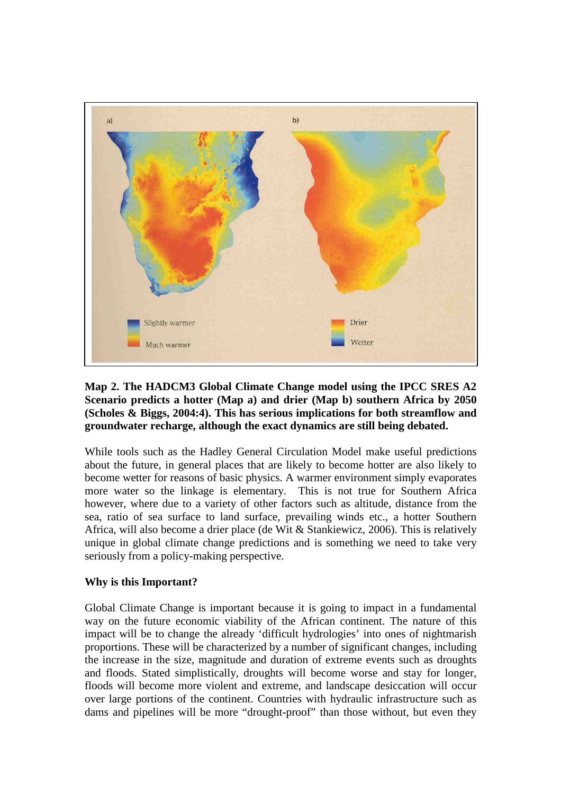

# **Map 2. The HADCM3 Global Climate Change model using the IPCC SRES A2 Scenario predicts a hotter (Map a) and drier (Map b) southern Africa by 2050 (Scholes & Biggs, 2004:4). This has serious implications for both streamflow and groundwater recharge, although the exact dynamics are still being debated.**

While tools such as the Hadley General Circulation Model make useful predictions about the future, in general places that are likely to become hotter are also likely to become wetter for reasons of basic physics. A warmer environment simply evaporates more water so the linkage is elementary. This is not true for Southern Africa however, where due to a variety of other factors such as altitude, distance from the sea, ratio of sea surface to land surface, prevailing winds etc., a hotter Southern Africa, will also become a drier place (de Wit & Stankiewicz, 2006). This is relatively unique in global climate change predictions and is something we need to take very seriously from a policy-making perspective.

# **Why is this Important?**

Global Climate Change is important because it is going to impact in a fundamental way on the future economic viability of the African continent. The nature of this impact will be to change the already 'difficult hydrologies' into ones of nightmarish proportions. These will be characterized by a number of significant changes, including the increase in the size, magnitude and duration of extreme events such as droughts and floods. Stated simplistically, droughts will become worse and stay for longer, floods will become more violent and extreme, and landscape desiccation will occur over large portions of the continent. Countries with hydraulic infrastructure such as dams and pipelines will be more "drought-proof" than those without, but even they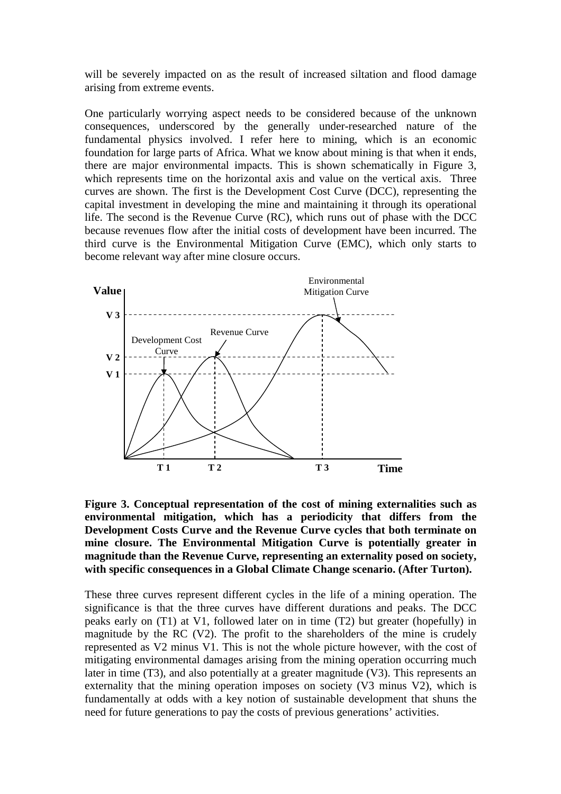will be severely impacted on as the result of increased siltation and flood damage arising from extreme events.

One particularly worrying aspect needs to be considered because of the unknown consequences, underscored by the generally under-researched nature of the fundamental physics involved. I refer here to mining, which is an economic foundation for large parts of Africa. What we know about mining is that when it ends, there are major environmental impacts. This is shown schematically in Figure 3, which represents time on the horizontal axis and value on the vertical axis. Three curves are shown. The first is the Development Cost Curve (DCC), representing the capital investment in developing the mine and maintaining it through its operational life. The second is the Revenue Curve (RC), which runs out of phase with the DCC because revenues flow after the initial costs of development have been incurred. The third curve is the Environmental Mitigation Curve (EMC), which only starts to become relevant way after mine closure occurs.



**Figure 3. Conceptual representation of the cost of mining externalities such as environmental mitigation, which has a periodicity that differs from the Development Costs Curve and the Revenue Curve cycles that both terminate on mine closure. The Environmental Mitigation Curve is potentially greater in magnitude than the Revenue Curve, representing an externality posed on society, with specific consequences in a Global Climate Change scenario. (After Turton).** 

These three curves represent different cycles in the life of a mining operation. The significance is that the three curves have different durations and peaks. The DCC peaks early on (T1) at V1, followed later on in time (T2) but greater (hopefully) in magnitude by the RC (V2). The profit to the shareholders of the mine is crudely represented as V2 minus V1. This is not the whole picture however, with the cost of mitigating environmental damages arising from the mining operation occurring much later in time (T3), and also potentially at a greater magnitude (V3). This represents an externality that the mining operation imposes on society (V3 minus V2), which is fundamentally at odds with a key notion of sustainable development that shuns the need for future generations to pay the costs of previous generations' activities.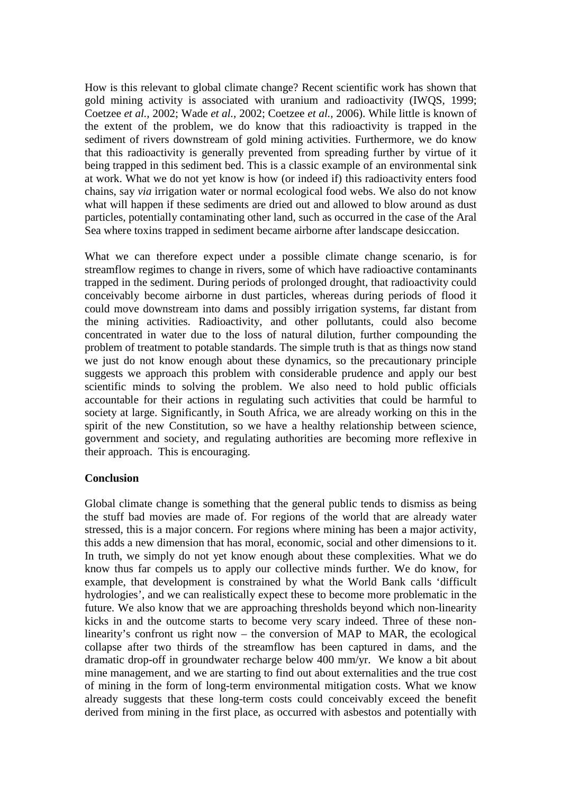How is this relevant to global climate change? Recent scientific work has shown that gold mining activity is associated with uranium and radioactivity (IWQS, 1999; Coetzee *et al.,* 2002; Wade *et al.,* 2002; Coetzee *et al.,* 2006). While little is known of the extent of the problem, we do know that this radioactivity is trapped in the sediment of rivers downstream of gold mining activities. Furthermore, we do know that this radioactivity is generally prevented from spreading further by virtue of it being trapped in this sediment bed. This is a classic example of an environmental sink at work. What we do not yet know is how (or indeed if) this radioactivity enters food chains, say *via* irrigation water or normal ecological food webs. We also do not know what will happen if these sediments are dried out and allowed to blow around as dust particles, potentially contaminating other land, such as occurred in the case of the Aral Sea where toxins trapped in sediment became airborne after landscape desiccation.

What we can therefore expect under a possible climate change scenario, is for streamflow regimes to change in rivers, some of which have radioactive contaminants trapped in the sediment. During periods of prolonged drought, that radioactivity could conceivably become airborne in dust particles, whereas during periods of flood it could move downstream into dams and possibly irrigation systems, far distant from the mining activities. Radioactivity, and other pollutants, could also become concentrated in water due to the loss of natural dilution, further compounding the problem of treatment to potable standards. The simple truth is that as things now stand we just do not know enough about these dynamics, so the precautionary principle suggests we approach this problem with considerable prudence and apply our best scientific minds to solving the problem. We also need to hold public officials accountable for their actions in regulating such activities that could be harmful to society at large. Significantly, in South Africa, we are already working on this in the spirit of the new Constitution, so we have a healthy relationship between science, government and society, and regulating authorities are becoming more reflexive in their approach. This is encouraging.

# **Conclusion**

Global climate change is something that the general public tends to dismiss as being the stuff bad movies are made of. For regions of the world that are already water stressed, this is a major concern. For regions where mining has been a major activity, this adds a new dimension that has moral, economic, social and other dimensions to it. In truth, we simply do not yet know enough about these complexities. What we do know thus far compels us to apply our collective minds further. We do know, for example, that development is constrained by what the World Bank calls 'difficult hydrologies', and we can realistically expect these to become more problematic in the future. We also know that we are approaching thresholds beyond which non-linearity kicks in and the outcome starts to become very scary indeed. Three of these nonlinearity's confront us right now – the conversion of MAP to MAR, the ecological collapse after two thirds of the streamflow has been captured in dams, and the dramatic drop-off in groundwater recharge below 400 mm/yr. We know a bit about mine management, and we are starting to find out about externalities and the true cost of mining in the form of long-term environmental mitigation costs. What we know already suggests that these long-term costs could conceivably exceed the benefit derived from mining in the first place, as occurred with asbestos and potentially with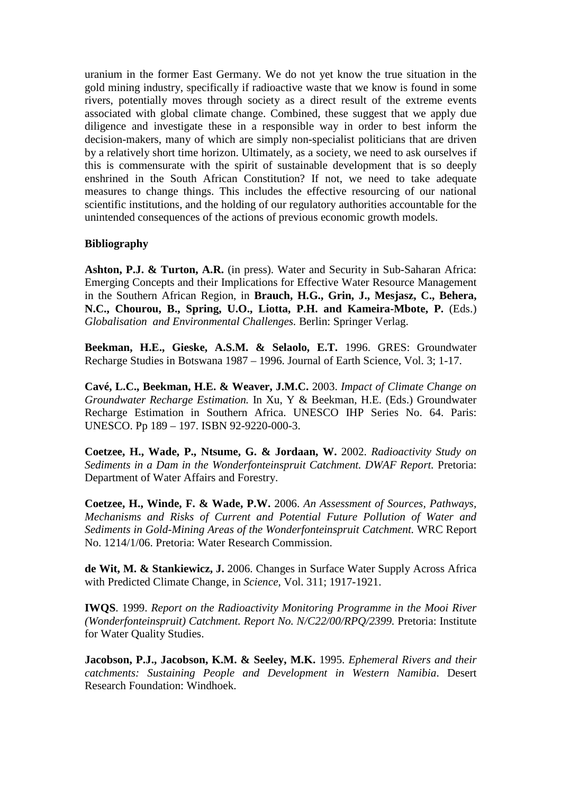uranium in the former East Germany. We do not yet know the true situation in the gold mining industry, specifically if radioactive waste that we know is found in some rivers, potentially moves through society as a direct result of the extreme events associated with global climate change. Combined, these suggest that we apply due diligence and investigate these in a responsible way in order to best inform the decision-makers, many of which are simply non-specialist politicians that are driven by a relatively short time horizon. Ultimately, as a society, we need to ask ourselves if this is commensurate with the spirit of sustainable development that is so deeply enshrined in the South African Constitution? If not, we need to take adequate measures to change things. This includes the effective resourcing of our national scientific institutions, and the holding of our regulatory authorities accountable for the unintended consequences of the actions of previous economic growth models.

# **Bibliography**

**Ashton, P.J. & Turton, A.R.** (in press). Water and Security in Sub-Saharan Africa: Emerging Concepts and their Implications for Effective Water Resource Management in the Southern African Region, in **Brauch, H.G., Grin, J., Mesjasz, C., Behera, N.C., Chourou, B., Spring, U.O., Liotta, P.H. and Kameira-Mbote, P.** (Eds.) *Globalisation and Environmental Challenges.* Berlin: Springer Verlag.

**Beekman, H.E., Gieske, A.S.M. & Selaolo, E.T.** 1996. GRES: Groundwater Recharge Studies in Botswana 1987 – 1996. Journal of Earth Science, Vol. 3; 1-17.

**Cavé, L.C., Beekman, H.E. & Weaver, J.M.C.** 2003. *Impact of Climate Change on Groundwater Recharge Estimation.* In Xu, Y & Beekman, H.E. (Eds.) Groundwater Recharge Estimation in Southern Africa. UNESCO IHP Series No. 64. Paris: UNESCO. Pp 189 – 197. ISBN 92-9220-000-3.

**Coetzee, H., Wade, P., Ntsume, G. & Jordaan, W.** 2002. *Radioactivity Study on Sediments in a Dam in the Wonderfonteinspruit Catchment. DWAF Report.* Pretoria: Department of Water Affairs and Forestry.

**Coetzee, H., Winde, F. & Wade, P.W.** 2006. *An Assessment of Sources, Pathways, Mechanisms and Risks of Current and Potential Future Pollution of Water and Sediments in Gold-Mining Areas of the Wonderfonteinspruit Catchment.* WRC Report No. 1214/1/06. Pretoria: Water Research Commission.

**de Wit, M. & Stankiewicz, J.** 2006. Changes in Surface Water Supply Across Africa with Predicted Climate Change, in *Science*, Vol. 311; 1917-1921.

**IWQS**. 1999. *Report on the Radioactivity Monitoring Programme in the Mooi River (Wonderfonteinspruit) Catchment. Report No. N/C22/00/RPQ/2399.* Pretoria: Institute for Water Quality Studies.

**Jacobson, P.J., Jacobson, K.M. & Seeley, M.K.** 1995. *Ephemeral Rivers and their catchments: Sustaining People and Development in Western Namibia*. Desert Research Foundation: Windhoek.